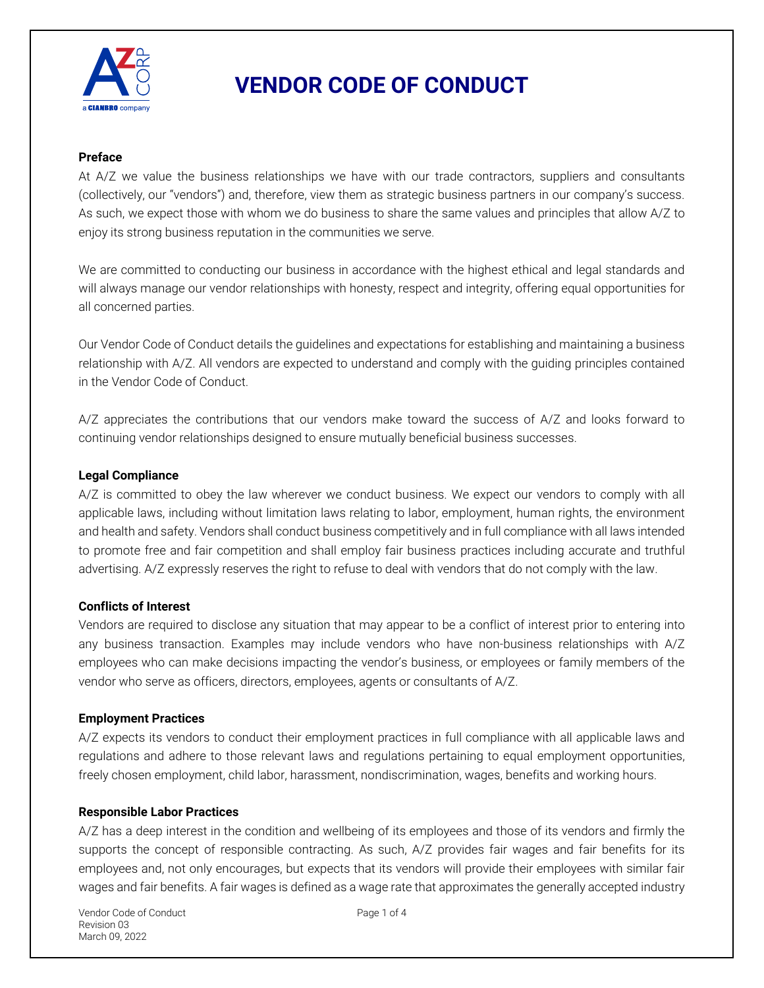

#### **Preface**

At A/Z we value the business relationships we have with our trade contractors, suppliers and consultants (collectively, our "vendors") and, therefore, view them as strategic business partners in our company's success. As such, we expect those with whom we do business to share the same values and principles that allow A/Z to enjoy its strong business reputation in the communities we serve.

We are committed to conducting our business in accordance with the highest ethical and legal standards and will always manage our vendor relationships with honesty, respect and integrity, offering equal opportunities for all concerned parties.

Our Vendor Code of Conduct details the guidelines and expectations for establishing and maintaining a business relationship with A/Z. All vendors are expected to understand and comply with the guiding principles contained in the Vendor Code of Conduct.

A/Z appreciates the contributions that our vendors make toward the success of A/Z and looks forward to continuing vendor relationships designed to ensure mutually beneficial business successes.

#### **Legal Compliance**

A/Z is committed to obey the law wherever we conduct business. We expect our vendors to comply with all applicable laws, including without limitation laws relating to labor, employment, human rights, the environment and health and safety. Vendors shall conduct business competitively and in full compliance with all laws intended to promote free and fair competition and shall employ fair business practices including accurate and truthful advertising. A/Z expressly reserves the right to refuse to deal with vendors that do not comply with the law.

## **Conflicts of Interest**

Vendors are required to disclose any situation that may appear to be a conflict of interest prior to entering into any business transaction. Examples may include vendors who have non-business relationships with A/Z employees who can make decisions impacting the vendor's business, or employees or family members of the vendor who serve as officers, directors, employees, agents or consultants of A/Z.

## **Employment Practices**

A/Z expects its vendors to conduct their employment practices in full compliance with all applicable laws and regulations and adhere to those relevant laws and regulations pertaining to equal employment opportunities, freely chosen employment, child labor, harassment, nondiscrimination, wages, benefits and working hours.

#### **Responsible Labor Practices**

A/Z has a deep interest in the condition and wellbeing of its employees and those of its vendors and firmly the supports the concept of responsible contracting. As such, A/Z provides fair wages and fair benefits for its employees and, not only encourages, but expects that its vendors will provide their employees with similar fair wages and fair benefits. A fair wages is defined as a wage rate that approximates the generally accepted industry

Vendor Code of Conduct and Page 1 of 4 Revision 03 March 09, 2022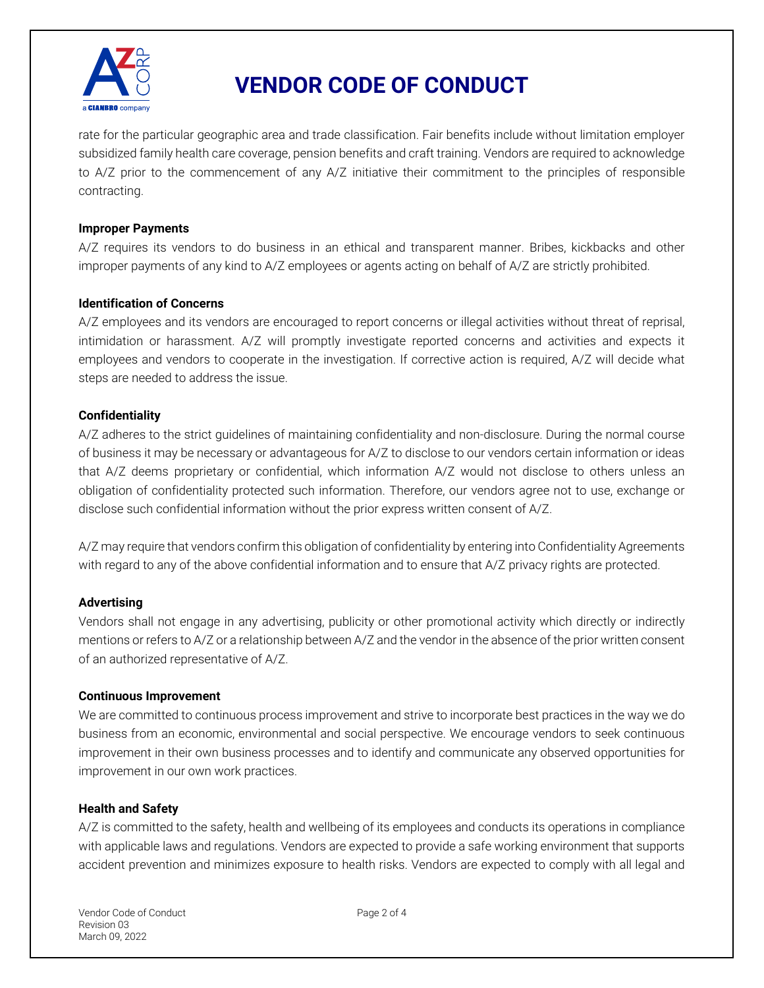

rate for the particular geographic area and trade classification. Fair benefits include without limitation employer subsidized family health care coverage, pension benefits and craft training. Vendors are required to acknowledge to A/Z prior to the commencement of any A/Z initiative their commitment to the principles of responsible contracting.

#### **Improper Payments**

A/Z requires its vendors to do business in an ethical and transparent manner. Bribes, kickbacks and other improper payments of any kind to A/Z employees or agents acting on behalf of A/Z are strictly prohibited.

### **Identification of Concerns**

A/Z employees and its vendors are encouraged to report concerns or illegal activities without threat of reprisal, intimidation or harassment. A/Z will promptly investigate reported concerns and activities and expects it employees and vendors to cooperate in the investigation. If corrective action is required, A/Z will decide what steps are needed to address the issue.

### **Confidentiality**

A/Z adheres to the strict guidelines of maintaining confidentiality and non-disclosure. During the normal course of business it may be necessary or advantageous for A/Z to disclose to our vendors certain information or ideas that A/Z deems proprietary or confidential, which information A/Z would not disclose to others unless an obligation of confidentiality protected such information. Therefore, our vendors agree not to use, exchange or disclose such confidential information without the prior express written consent of A/Z.

A/Z may require that vendors confirm this obligation of confidentiality by entering into Confidentiality Agreements with regard to any of the above confidential information and to ensure that A/Z privacy rights are protected.

## **Advertising**

Vendors shall not engage in any advertising, publicity or other promotional activity which directly or indirectly mentions or refers to A/Z or a relationship between A/Z and the vendor in the absence of the prior written consent of an authorized representative of A/Z.

#### **Continuous Improvement**

We are committed to continuous process improvement and strive to incorporate best practices in the way we do business from an economic, environmental and social perspective. We encourage vendors to seek continuous improvement in their own business processes and to identify and communicate any observed opportunities for improvement in our own work practices.

#### **Health and Safety**

A/Z is committed to the safety, health and wellbeing of its employees and conducts its operations in compliance with applicable laws and regulations. Vendors are expected to provide a safe working environment that supports accident prevention and minimizes exposure to health risks. Vendors are expected to comply with all legal and

Vendor Code of Conduct Page 2 of 4 Revision 03 March 09, 2022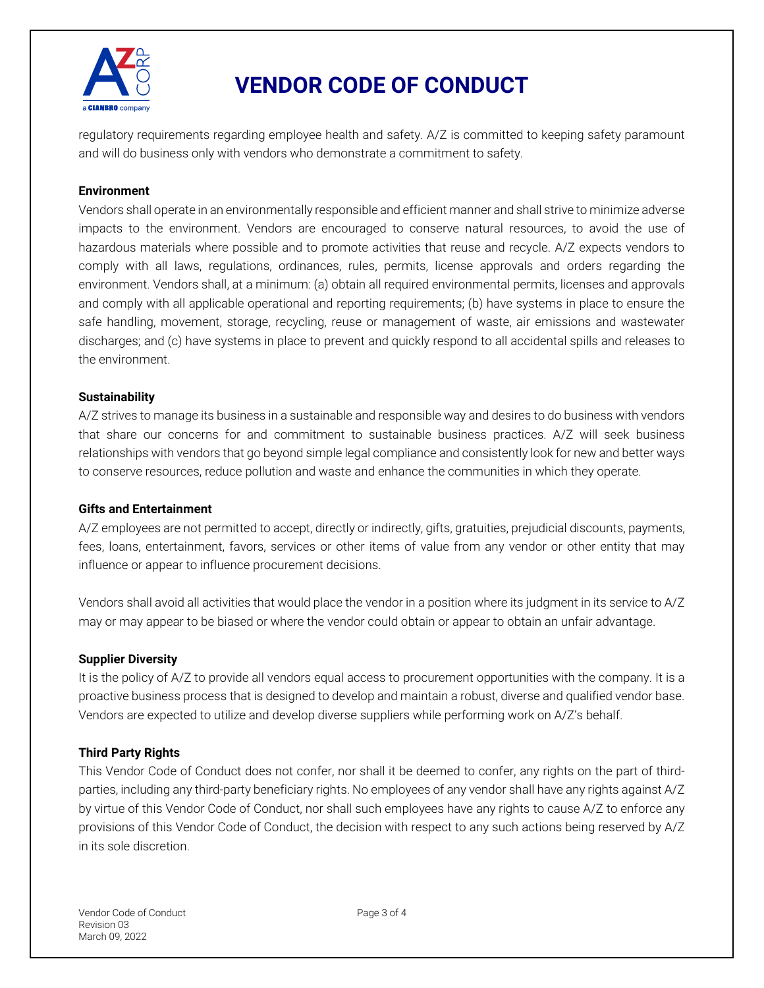

regulatory requirements regarding employee health and safety. A/Z is committed to keeping safety paramount and will do business only with vendors who demonstrate a commitment to safety.

#### **Environment**

Vendors shall operate in an environmentally responsible and efficient manner and shall strive to minimize adverse impacts to the environment. Vendors are encouraged to conserve natural resources, to avoid the use of hazardous materials where possible and to promote activities that reuse and recycle. A/Z expects vendors to comply with all laws, regulations, ordinances, rules, permits, license approvals and orders regarding the environment. Vendors shall, at a minimum: (a) obtain all required environmental permits, licenses and approvals and comply with all applicable operational and reporting requirements; (b) have systems in place to ensure the safe handling, movement, storage, recycling, reuse or management of waste, air emissions and wastewater discharges; and (c) have systems in place to prevent and quickly respond to all accidental spills and releases to the environment.

#### **Sustainability**

A/Z strives to manage its business in a sustainable and responsible way and desires to do business with vendors that share our concerns for and commitment to sustainable business practices. A/Z will seek business relationships with vendors that go beyond simple legal compliance and consistently look for new and better ways to conserve resources, reduce pollution and waste and enhance the communities in which they operate.

#### **Gifts and Entertainment**

A/Z employees are not permitted to accept, directly or indirectly, gifts, gratuities, prejudicial discounts, payments, fees, loans, entertainment, favors, services or other items of value from any vendor or other entity that may influence or appear to influence procurement decisions.

Vendors shall avoid all activities that would place the vendor in a position where its judgment in its service to A/Z may or may appear to be biased or where the vendor could obtain or appear to obtain an unfair advantage.

#### **Supplier Diversity**

It is the policy of A/Z to provide all vendors equal access to procurement opportunities with the company. It is a proactive business process that is designed to develop and maintain a robust, diverse and qualified vendor base. Vendors are expected to utilize and develop diverse suppliers while performing work on A/Z's behalf.

#### **Third Party Rights**

This Vendor Code of Conduct does not confer, nor shall it be deemed to confer, any rights on the part of thirdparties, including any third-party beneficiary rights. No employees of any vendor shall have any rights against A/Z by virtue of this Vendor Code of Conduct, nor shall such employees have any rights to cause A/Z to enforce any provisions of this Vendor Code of Conduct, the decision with respect to any such actions being reserved by A/Z in its sole discretion.